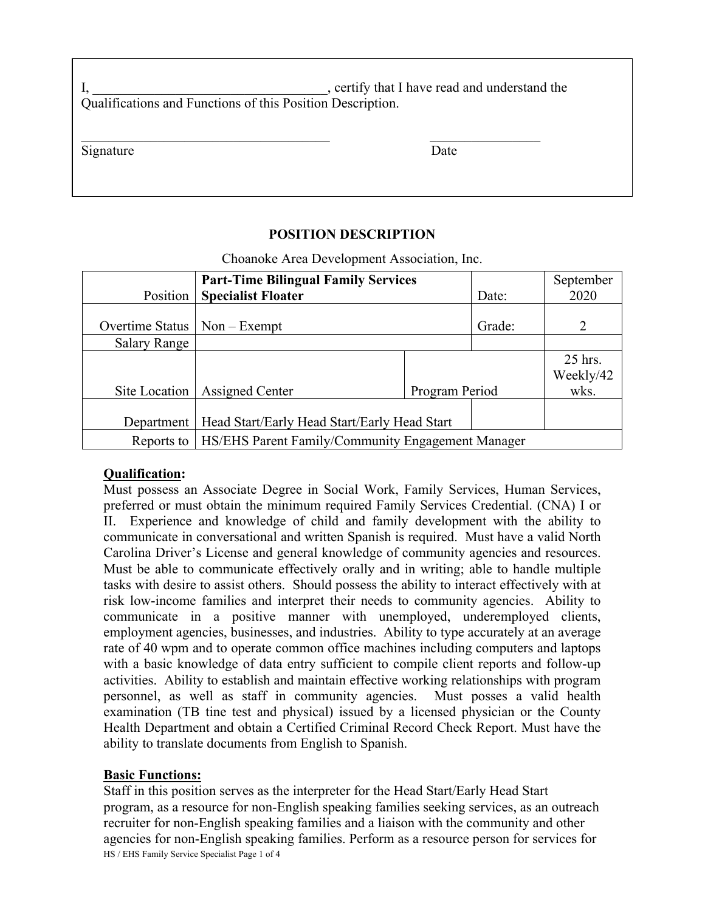I, the contract of the set of the set of the set of the set of the set of the set of the set of the set of the set of the set of the set of the set of the set of the set of the set of the set of the set of the set of the s Qualifications and Functions of this Position Description.

Signature Date

## **POSITION DESCRIPTION**

Choanoke Area Development Association, Inc.

|                                  | <b>Part-Time Bilingual Family Services</b>               |                |        | September                    |
|----------------------------------|----------------------------------------------------------|----------------|--------|------------------------------|
| Position                         | <b>Specialist Floater</b>                                |                | Date:  | 2020                         |
| Overtime Status $ $ Non – Exempt |                                                          |                | Grade: | 2                            |
| <b>Salary Range</b>              |                                                          |                |        |                              |
|                                  | Site Location   Assigned Center                          | Program Period |        | 25 hrs.<br>Weekly/42<br>wks. |
|                                  |                                                          |                |        |                              |
| Department                       | Head Start/Early Head Start/Early Head Start             |                |        |                              |
| Reports to                       | <b>HS/EHS Parent Family/Community Engagement Manager</b> |                |        |                              |

## **Qualification:**

Must possess an Associate Degree in Social Work, Family Services, Human Services, preferred or must obtain the minimum required Family Services Credential. (CNA) I or II. Experience and knowledge of child and family development with the ability to communicate in conversational and written Spanish is required. Must have a valid North Carolina Driver's License and general knowledge of community agencies and resources. Must be able to communicate effectively orally and in writing; able to handle multiple tasks with desire to assist others. Should possess the ability to interact effectively with at risk low-income families and interpret their needs to community agencies. Ability to communicate in a positive manner with unemployed, underemployed clients, employment agencies, businesses, and industries. Ability to type accurately at an average rate of 40 wpm and to operate common office machines including computers and laptops with a basic knowledge of data entry sufficient to compile client reports and follow-up activities. Ability to establish and maintain effective working relationships with program personnel, as well as staff in community agencies. Must posses a valid health examination (TB tine test and physical) issued by a licensed physician or the County Health Department and obtain a Certified Criminal Record Check Report. Must have the ability to translate documents from English to Spanish.

## **Basic Functions:**

HS / EHS Family Service Specialist Page 1 of 4 Staff in this position serves as the interpreter for the Head Start/Early Head Start program, as a resource for non-English speaking families seeking services, as an outreach recruiter for non-English speaking families and a liaison with the community and other agencies for non-English speaking families. Perform as a resource person for services for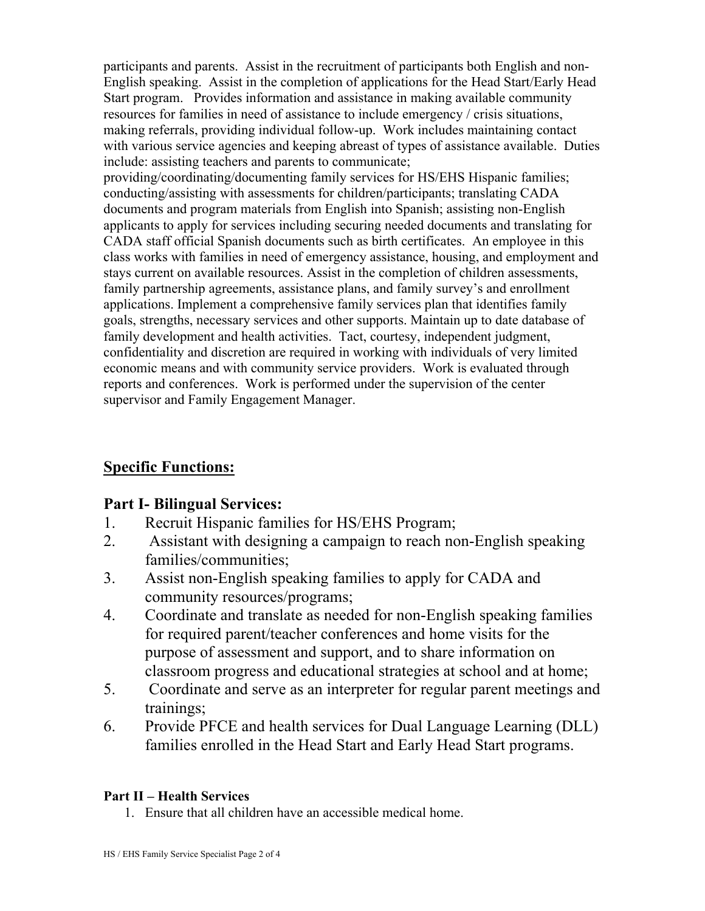participants and parents. Assist in the recruitment of participants both English and non-English speaking. Assist in the completion of applications for the Head Start/Early Head Start program. Provides information and assistance in making available community resources for families in need of assistance to include emergency / crisis situations, making referrals, providing individual follow-up. Work includes maintaining contact with various service agencies and keeping abreast of types of assistance available. Duties include: assisting teachers and parents to communicate;

providing/coordinating/documenting family services for HS/EHS Hispanic families; conducting/assisting with assessments for children/participants; translating CADA documents and program materials from English into Spanish; assisting non-English applicants to apply for services including securing needed documents and translating for CADA staff official Spanish documents such as birth certificates. An employee in this class works with families in need of emergency assistance, housing, and employment and stays current on available resources. Assist in the completion of children assessments, family partnership agreements, assistance plans, and family survey's and enrollment applications. Implement a comprehensive family services plan that identifies family goals, strengths, necessary services and other supports. Maintain up to date database of family development and health activities. Tact, courtesy, independent judgment, confidentiality and discretion are required in working with individuals of very limited economic means and with community service providers. Work is evaluated through reports and conferences. Work is performed under the supervision of the center supervisor and Family Engagement Manager.

# **Specific Functions:**

# **Part I- Bilingual Services:**

- 1. Recruit Hispanic families for HS/EHS Program;
- 2. Assistant with designing a campaign to reach non-English speaking families/communities;
- 3. Assist non-English speaking families to apply for CADA and community resources/programs;
- 4. Coordinate and translate as needed for non-English speaking families for required parent/teacher conferences and home visits for the purpose of assessment and support, and to share information on classroom progress and educational strategies at school and at home;
- 5. Coordinate and serve as an interpreter for regular parent meetings and trainings;
- 6. Provide PFCE and health services for Dual Language Learning (DLL) families enrolled in the Head Start and Early Head Start programs.

## **Part II – Health Services**

1. Ensure that all children have an accessible medical home.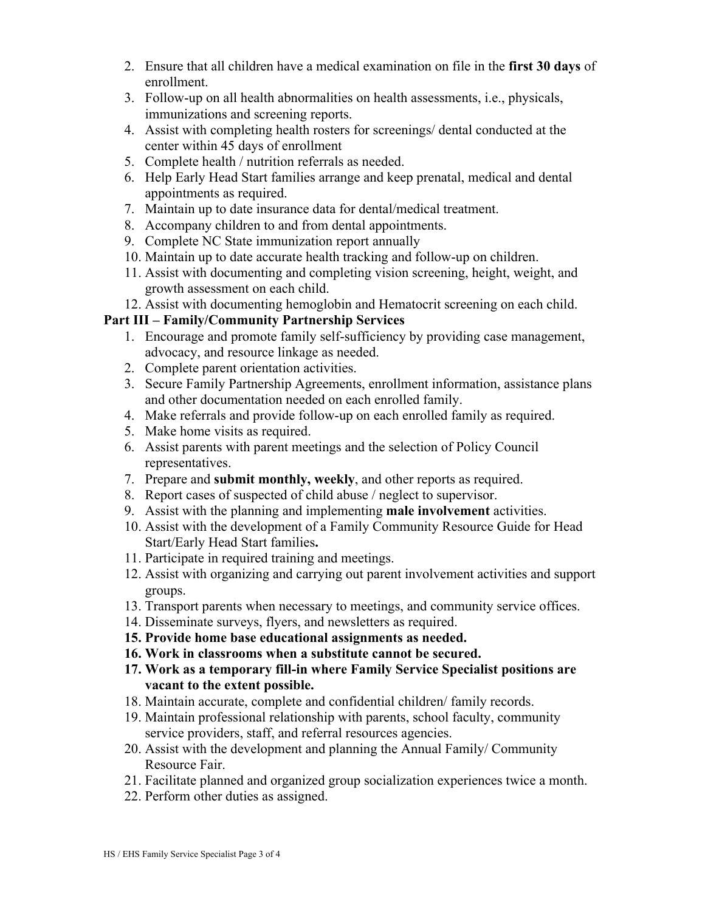- 2. Ensure that all children have a medical examination on file in the **first 30 days** of enrollment.
- 3. Follow-up on all health abnormalities on health assessments, i.e., physicals, immunizations and screening reports.
- 4. Assist with completing health rosters for screenings/ dental conducted at the center within 45 days of enrollment
- 5. Complete health / nutrition referrals as needed.
- 6. Help Early Head Start families arrange and keep prenatal, medical and dental appointments as required.
- 7. Maintain up to date insurance data for dental/medical treatment.
- 8. Accompany children to and from dental appointments.
- 9. Complete NC State immunization report annually
- 10. Maintain up to date accurate health tracking and follow-up on children.
- 11. Assist with documenting and completing vision screening, height, weight, and growth assessment on each child.
- 12. Assist with documenting hemoglobin and Hematocrit screening on each child.

## **Part III – Family/Community Partnership Services**

- 1. Encourage and promote family self-sufficiency by providing case management, advocacy, and resource linkage as needed.
- 2. Complete parent orientation activities.
- 3. Secure Family Partnership Agreements, enrollment information, assistance plans and other documentation needed on each enrolled family.
- 4. Make referrals and provide follow-up on each enrolled family as required.
- 5. Make home visits as required.
- 6. Assist parents with parent meetings and the selection of Policy Council representatives.
- 7. Prepare and **submit monthly, weekly**, and other reports as required.
- 8. Report cases of suspected of child abuse / neglect to supervisor.
- 9. Assist with the planning and implementing **male involvement** activities.
- 10. Assist with the development of a Family Community Resource Guide for Head Start/Early Head Start families**.**
- 11. Participate in required training and meetings.
- 12. Assist with organizing and carrying out parent involvement activities and support groups.
- 13. Transport parents when necessary to meetings, and community service offices.
- 14. Disseminate surveys, flyers, and newsletters as required.
- **15. Provide home base educational assignments as needed.**
- **16. Work in classrooms when a substitute cannot be secured.**
- **17. Work as a temporary fill-in where Family Service Specialist positions are vacant to the extent possible.**
- 18. Maintain accurate, complete and confidential children/ family records.
- 19. Maintain professional relationship with parents, school faculty, community service providers, staff, and referral resources agencies.
- 20. Assist with the development and planning the Annual Family/ Community Resource Fair.
- 21. Facilitate planned and organized group socialization experiences twice a month.
- 22. Perform other duties as assigned.